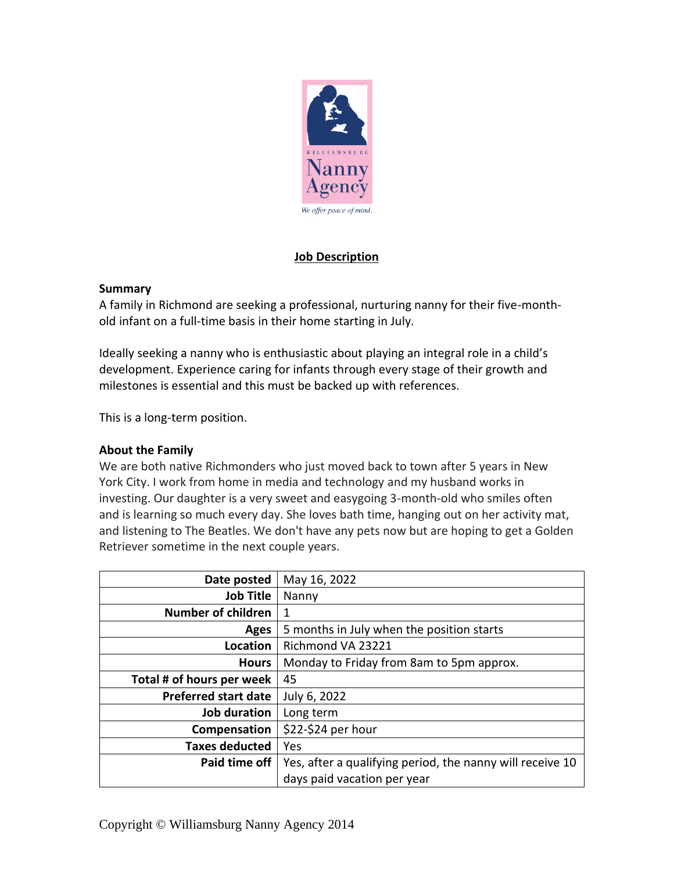

# **Job Description**

#### **Summary**

A family in Richmond are seeking a professional, nurturing nanny for their five-monthold infant on a full-time basis in their home starting in July.

Ideally seeking a nanny who is enthusiastic about playing an integral role in a child's development. Experience caring for infants through every stage of their growth and milestones is essential and this must be backed up with references.

This is a long-term position.

# **About the Family**

We are both native Richmonders who just moved back to town after 5 years in New York City. I work from home in media and technology and my husband works in investing. Our daughter is a very sweet and easygoing 3-month-old who smiles often and is learning so much every day. She loves bath time, hanging out on her activity mat, and listening to The Beatles. We don't have any pets now but are hoping to get a Golden Retriever sometime in the next couple years.

| Date posted                 | May 16, 2022                                              |
|-----------------------------|-----------------------------------------------------------|
| <b>Job Title</b>            | Nanny                                                     |
| <b>Number of children</b>   | 1                                                         |
| Ages                        | 5 months in July when the position starts                 |
| Location                    | Richmond VA 23221                                         |
| <b>Hours</b>                | Monday to Friday from 8am to 5pm approx.                  |
| Total # of hours per week   | 45                                                        |
| <b>Preferred start date</b> | July 6, 2022                                              |
| Job duration                | Long term                                                 |
| Compensation                | \$22-\$24 per hour                                        |
| <b>Taxes deducted</b>       | Yes                                                       |
| Paid time off               | Yes, after a qualifying period, the nanny will receive 10 |
|                             | days paid vacation per year                               |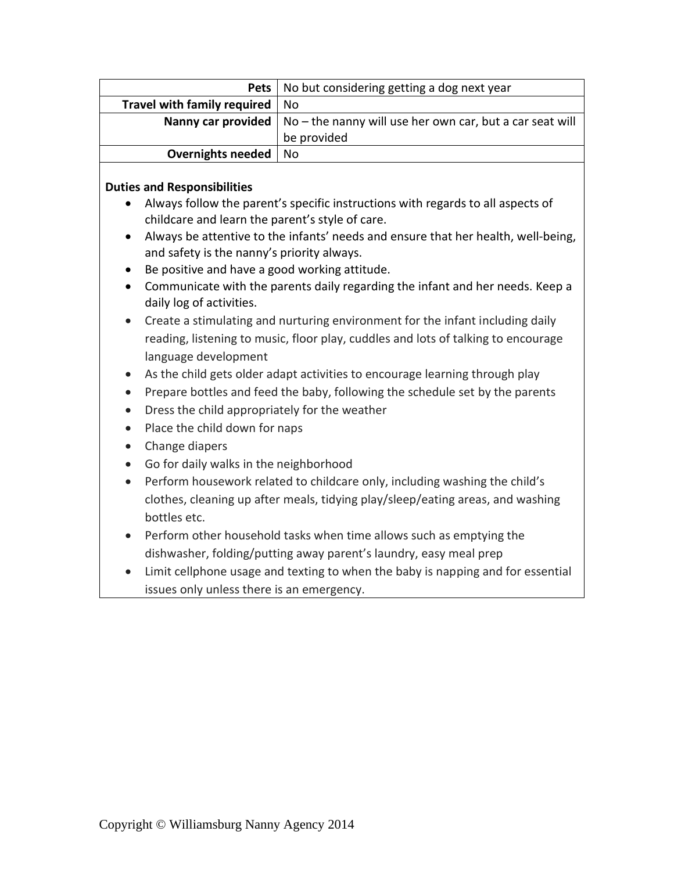|                                  | <b>Pets</b>   No but considering getting a dog next year                               |
|----------------------------------|----------------------------------------------------------------------------------------|
| Travel with family required   No |                                                                                        |
|                                  | <b>Nanny car provided</b>   No $-$ the nanny will use her own car, but a car seat will |
|                                  | be provided                                                                            |
| <b>Overnights needed</b>   No    |                                                                                        |

### **Duties and Responsibilities**

- Always follow the parent's specific instructions with regards to all aspects of childcare and learn the parent's style of care.
- Always be attentive to the infants' needs and ensure that her health, well-being, and safety is the nanny's priority always.
- Be positive and have a good working attitude.
- Communicate with the parents daily regarding the infant and her needs. Keep a daily log of activities.
- Create a stimulating and nurturing environment for the infant including daily reading, listening to music, floor play, cuddles and lots of talking to encourage language development
- As the child gets older adapt activities to encourage learning through play
- Prepare bottles and feed the baby, following the schedule set by the parents
- Dress the child appropriately for the weather
- Place the child down for naps
- Change diapers
- Go for daily walks in the neighborhood
- Perform housework related to childcare only, including washing the child's clothes, cleaning up after meals, tidying play/sleep/eating areas, and washing bottles etc.
- Perform other household tasks when time allows such as emptying the dishwasher, folding/putting away parent's laundry, easy meal prep
- Limit cellphone usage and texting to when the baby is napping and for essential issues only unless there is an emergency.